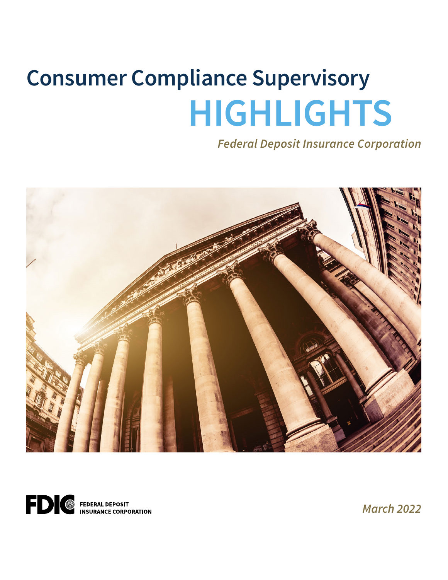# **Consumer Compliance Supervisory HIGHLIGHTS**

*Federal Deposit Insurance Corporation* 





*March 2022*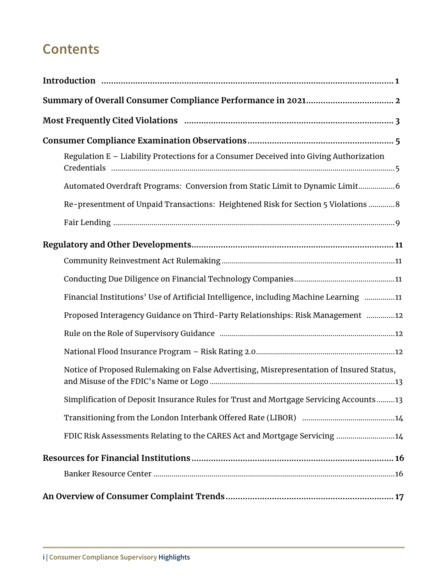# **Contents**

| Regulation E - Liability Protections for a Consumer Deceived into Giving Authorization   |
|------------------------------------------------------------------------------------------|
| Automated Overdraft Programs: Conversion from Static Limit to Dynamic Limit6             |
| Re-presentment of Unpaid Transactions: Heightened Risk for Section 5 Violations  8       |
|                                                                                          |
|                                                                                          |
|                                                                                          |
|                                                                                          |
| Financial Institutions' Use of Artificial Intelligence, including Machine Learning 11    |
| Proposed Interagency Guidance on Third-Party Relationships: Risk Management 12           |
|                                                                                          |
|                                                                                          |
| Notice of Proposed Rulemaking on False Advertising, Misrepresentation of Insured Status, |
| Simplification of Deposit Insurance Rules for Trust and Mortgage Servicing Accounts13    |
|                                                                                          |
| FDIC Risk Assessments Relating to the CARES Act and Mortgage Servicing 14                |
|                                                                                          |
|                                                                                          |
|                                                                                          |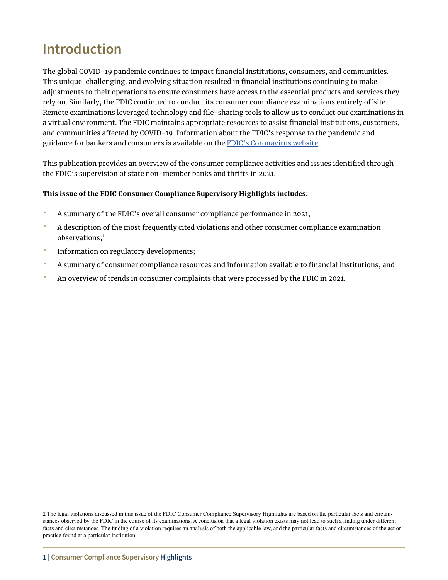# <span id="page-2-0"></span>**Introduction**

The global COVID-19 pandemic continues to impact fnancial institutions, consumers, and communities. This unique, challenging, and evolving situation resulted in fnancial institutions continuing to make adjustments to their operations to ensure consumers have access to the essential products and services they rely on. Similarly, the FDIC continued to conduct its consumer compliance examinations entirely ofsite. Remote examinations leveraged technology and fle-sharing tools to allow us to conduct our examinations in a virtual environment. The FDIC maintains appropriate resources to assist fnancial institutions, customers, and communities afected by COVID-19. Information about the FDIC's response to the pandemic and guidance for bankers and consumers is available on the [FDIC's Coronavirus website](https://www.fdic.gov/coronavirus/).

This publication provides an overview of the consumer compliance activities and issues identifed through the FDIC's supervision of state non-member banks and thrifts in 2021.

#### This issue of the FDIC Consumer Compliance Supervisory Highlights includes:

- A summary of the FDIC's overall consumer compliance performance in 2021;
- A description of the most frequently cited violations and other consumer compliance examination observations;<sup>1</sup>
- Information on regulatory developments;
- A summary of consumer compliance resources and information available to fnancial institutions; and
- An overview of trends in consumer complaints that were processed by the FDIC in 2021.

<sup>1</sup> The legal violations discussed in this issue of the FDIC Consumer Compliance Supervisory Highlights are based on the particular facts and circumstances observed by the FDIC in the course of its examinations. A conclusion that a legal violation exists may not lead to such a finding under different facts and circumstances. The finding of a violation requires an analysis of both the applicable law, and the particular facts and circumstances of the act or practice found at a particular institution.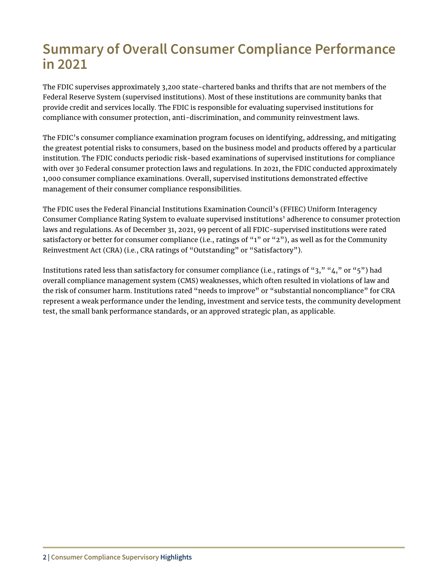# <span id="page-3-0"></span>**Summary of Overall Consumer Compliance Performance in 2021**

The FDIC supervises approximately 3,200 state-chartered banks and thrifts that are not members of the Federal Reserve System (supervised institutions). Most of these institutions are community banks that provide credit and services locally. The FDIC is responsible for evaluating supervised institutions for compliance with consumer protection, anti-discrimination, and community reinvestment laws.

The FDIC's consumer compliance examination program focuses on identifying, addressing, and mitigating the greatest potential risks to consumers, based on the business model and products ofered by a particular institution. The FDIC conducts periodic risk-based examinations of supervised institutions for compliance with over 30 Federal consumer protection laws and regulations. In 2021, the FDIC conducted approximately 1,000 consumer compliance examinations. Overall, supervised institutions demonstrated efective management of their consumer compliance responsibilities.

The FDIC uses the Federal Financial Institutions Examination Council's (FFIEC) Uniform Interagency Consumer Compliance Rating System to evaluate supervised institutions' adherence to consumer protection laws and regulations. As of December 31, 2021, 99 percent of all FDIC-supervised institutions were rated satisfactory or better for consumer compliance (i.e., ratings of "1" or "2"), as well as for the Community Reinvestment Act (CRA) (i.e., CRA ratings of "Outstanding" or "Satisfactory").

Institutions rated less than satisfactory for consumer compliance (i.e., ratings of "3," "4," or "5") had overall compliance management system (CMS) weaknesses, which often resulted in violations of law and the risk of consumer harm. Institutions rated "needs to improve" or "substantial noncompliance" for CRA represent a weak performance under the lending, investment and service tests, the community development test, the small bank performance standards, or an approved strategic plan, as applicable.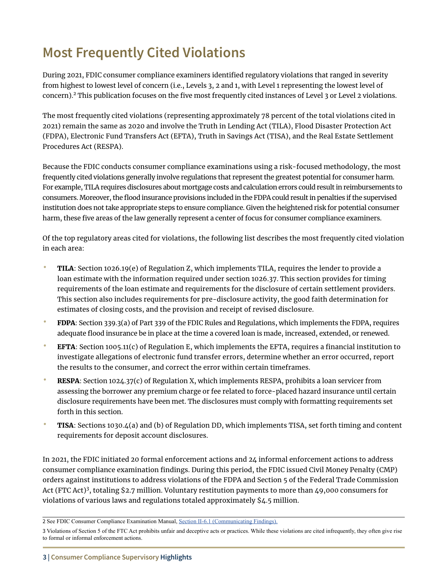# <span id="page-4-0"></span>**Most Frequently Cited Violations**

During 2021, FDIC consumer compliance examiners identifed regulatory violations that ranged in severity from highest to lowest level of concern (i.e., Levels 3, 2 and 1, with Level 1 representing the lowest level of concern).<sup>2</sup> This publication focuses on the five most frequently cited instances of Level 3 or Level 2 violations.

The most frequently cited violations (representing approximately 78 percent of the total violations cited in 2021) remain the same as 2020 and involve the Truth in Lending Act (TILA), Flood Disaster Protection Act (FDPA), Electronic Fund Transfers Act (EFTA), Truth in Savings Act (TISA), and the Real Estate Settlement Procedures Act (RESPA).

Because the FDIC conducts consumer compliance examinations using a risk-focused methodology, the most frequently cited violations generally involve regulations that represent the greatest potential for consumer harm. For example, TILA requires disclosures about mortgage costs and calculation errors could result in reimbursements to consumers. Moreover, the food insurance provisions included in the FDPA could result in penalties if the supervised institution does not take appropriate steps to ensure compliance. Given the heightened risk for potential consumer harm, these five areas of the law generally represent a center of focus for consumer compliance examiners.

Of the top regulatory areas cited for violations, the following list describes the most frequently cited violation in each area:

- TILA: Section 1026.19(e) of Regulation Z, which implements TILA, requires the lender to provide a loan estimate with the information required under section 1026.37. This section provides for timing requirements of the loan estimate and requirements for the disclosure of certain settlement providers. This section also includes requirements for pre-disclosure activity, the good faith determination for estimates of closing costs, and the provision and receipt of revised disclosure.
- FDPA: Section 339.3(a) of Part 339 of the FDIC Rules and Regulations, which implements the FDPA, requires adequate food insurance be in place at the time a covered loan is made, increased, extended, or renewed.
- EFTA: Section 1005.11(c) of Regulation E, which implements the EFTA, requires a fnancial institution to investigate allegations of electronic fund transfer errors, determine whether an error occurred, report the results to the consumer, and correct the error within certain timeframes.
- RESPA: Section 1024.37(c) of Regulation X, which implements RESPA, prohibits a loan servicer from assessing the borrower any premium charge or fee related to force-placed hazard insurance until certain disclosure requirements have been met. The disclosures must comply with formatting requirements set forth in this section.
- TISA: Sections 1030.4(a) and (b) of Regulation DD, which implements TISA, set forth timing and content requirements for deposit account disclosures.

In 2021, the FDIC initiated 20 formal enforcement actions and 24 informal enforcement actions to address consumer compliance examination fndings. During this period, the FDIC issued Civil Money Penalty (CMP) orders against institutions to address violations of the FDPA and Section 5 of the Federal Trade Commission Act (FTC Act)<sup>3</sup> , totaling \$2.7 million. Voluntary restitution payments to more than 49,000 consumers for violations of various laws and regulations totaled approximately \$4.5 million.

<sup>2</sup> See FDIC Consumer Compliance Examination Manual, [Section II-6.1 \(Communicating Findings\)](https://www.fdic.gov/regulations/compliance/manual/2/ii-6.1.pdf).

<sup>3</sup> Violations of Section 5 of the FTC Act prohibits unfair and deceptive acts or practices. While these violations are cited infrequently, they often give rise to formal or informal enforcement actions.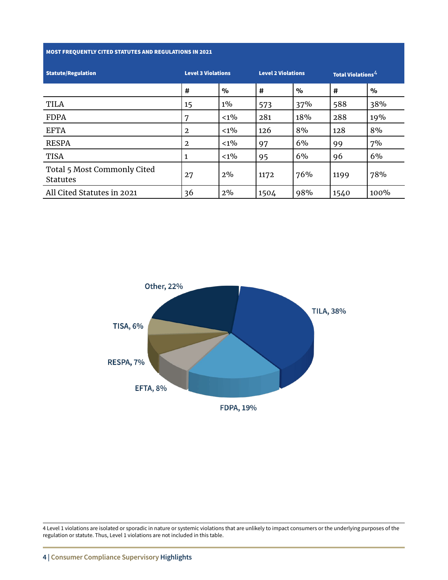#### MOST FREQUENTLY CITED STATUTES AND REGULATIONS IN 2021

| <b>Statute/Regulation</b>                      | <b>Level 3 Violations</b> |               | <b>Level 2 Violations</b> |               | <b>Total Violations</b> <sup>4</sup> |               |
|------------------------------------------------|---------------------------|---------------|---------------------------|---------------|--------------------------------------|---------------|
|                                                | #                         | $\frac{0}{0}$ | #                         | $\frac{0}{0}$ | #                                    | $\frac{0}{0}$ |
| <b>TILA</b>                                    | 15                        | $1\%$         | 573                       | 37%           | 588                                  | 38%           |
| <b>FDPA</b>                                    | 7                         | $< 1\%$       | 281                       | 18%           | 288                                  | 19%           |
| <b>EFTA</b>                                    | 2                         | $< 1\%$       | 126                       | 8%            | 128                                  | 8%            |
| <b>RESPA</b>                                   | $\mathbf{2}$              | $< 1\%$       | 97                        | 6%            | 99                                   | 7%            |
| <b>TISA</b>                                    |                           | $< 1\%$       | 95                        | 6%            | 96                                   | 6%            |
| Total 5 Most Commonly Cited<br><b>Statutes</b> | 27                        | 2%            | 1172                      | 76%           | 1199                                 | 78%           |
| All Cited Statutes in 2021                     | 36                        | 2%            | 1504                      | 98%           | 1540                                 | 100%          |



4 Level 1 violations are isolated or sporadic in nature or systemic violations that are unlikely to impact consumers or the underlying purposes of the regulation or statute. Thus, Level 1 violations are not included in this table.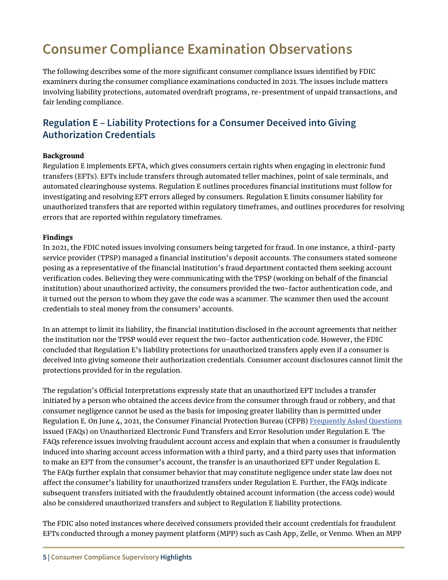# <span id="page-6-0"></span>**Consumer Compliance Examination Observations**

The following describes some of the more signifcant consumer compliance issues identifed by FDIC examiners during the consumer compliance examinations conducted in 2021. The issues include matters involving liability protections, automated overdraft programs, re-presentment of unpaid transactions, and fair lending compliance.

### **Regulation E – Liability Protections for a Consumer Deceived into Giving Authorization Credentials**

#### Background

Regulation E implements EFTA, which gives consumers certain rights when engaging in electronic fund transfers (EFTs). EFTs include transfers through automated teller machines, point of sale terminals, and automated clearinghouse systems. Regulation E outlines procedures fnancial institutions must follow for investigating and resolving EFT errors alleged by consumers. Regulation E limits consumer liability for unauthorized transfers that are reported within regulatory timeframes, and outlines procedures for resolving errors that are reported within regulatory timeframes.

#### Findings

In 2021, the FDIC noted issues involving consumers being targeted for fraud. In one instance, a third-party service provider (TPSP) managed a financial institution's deposit accounts. The consumers stated someone posing as a representative of the fnancial institution's fraud department contacted them seeking account verifcation codes. Believing they were communicating with the TPSP (working on behalf of the fnancial institution) about unauthorized activity, the consumers provided the two-factor authentication code, and it turned out the person to whom they gave the code was a scammer. The scammer then used the account credentials to steal money from the consumers' accounts.

In an attempt to limit its liability, the fnancial institution disclosed in the account agreements that neither the institution nor the TPSP would ever request the two-factor authentication code. However, the FDIC concluded that Regulation E's liability protections for unauthorized transfers apply even if a consumer is deceived into giving someone their authorization credentials. Consumer account disclosures cannot limit the protections provided for in the regulation.

The regulation's Official Interpretations expressly state that an unauthorized EFT includes a transfer initiated by a person who obtained the access device from the consumer through fraud or robbery, and that consumer negligence cannot be used as the basis for imposing greater liability than is permitted under Regulation E. On June 4, 2021, the Consumer Financial Protection Bureau (CFPB) [Frequently Asked Questions](https://www.consumerfinance.gov/compliance/compliance-resources/deposit-accounts-resources/electronic-fund-transfers/electronic-fund-transfers-faqs/#electronic-fund-transfers) issued (FAQs) on Unauthorized Electronic Fund Transfers and Error Resolution under Regulation E. The FAQs reference issues involving fraudulent account access and explain that when a consumer is fraudulently induced into sharing account access information with a third party, and a third party uses that information to make an EFT from the consumer's account, the transfer is an unauthorized EFT under Regulation E. The FAQs further explain that consumer behavior that may constitute negligence under state law does not afect the consumer's liability for unauthorized transfers under Regulation E. Further, the FAQs indicate subsequent transfers initiated with the fraudulently obtained account information (the access code) would also be considered unauthorized transfers and subject to Regulation E liability protections.

The FDIC also noted instances where deceived consumers provided their account credentials for fraudulent EFTs conducted through a money payment platform (MPP) such as Cash App, Zelle, or Venmo. When an MPP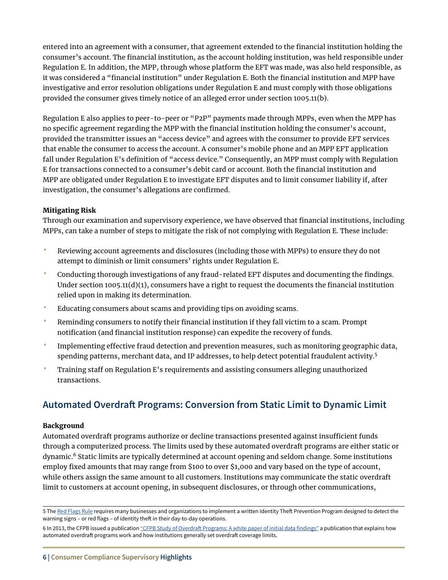<span id="page-7-0"></span>entered into an agreement with a consumer, that agreement extended to the fnancial institution holding the consumer's account. The fnancial institution, as the account holding institution, was held responsible under Regulation E. In addition, the MPP, through whose platform the EFT was made, was also held responsible, as it was considered a "fnancial institution" under Regulation E. Both the fnancial institution and MPP have investigative and error resolution obligations under Regulation E and must comply with those obligations provided the consumer gives timely notice of an alleged error under section 1005.11(b).

Regulation E also applies to peer-to-peer or "P2P" payments made through MPPs, even when the MPP has no specifc agreement regarding the MPP with the fnancial institution holding the consumer's account, provided the transmitter issues an "access device" and agrees with the consumer to provide EFT services that enable the consumer to access the account. A consumer's mobile phone and an MPP EFT application fall under Regulation E's definition of "access device." Consequently, an MPP must comply with Regulation E for transactions connected to a consumer's debit card or account. Both the fnancial institution and MPP are obligated under Regulation E to investigate EFT disputes and to limit consumer liability if, after investigation, the consumer's allegations are confirmed.

#### Mitigating Risk

Through our examination and supervisory experience, we have observed that fnancial institutions, including MPPs, can take a number of steps to mitigate the risk of not complying with Regulation E. These include:

- Reviewing account agreements and disclosures (including those with MPPs) to ensure they do not attempt to diminish or limit consumers' rights under Regulation E.
- Conducting thorough investigations of any fraud-related EFT disputes and documenting the findings. Under section  $1005.11(d)(1)$ , consumers have a right to request the documents the financial institution relied upon in making its determination.
- Educating consumers about scams and providing tips on avoiding scams.
- Reminding consumers to notify their fnancial institution if they fall victim to a scam. Prompt notifcation (and fnancial institution response) can expedite the recovery of funds.
- Implementing efective fraud detection and prevention measures, such as monitoring geographic data, spending patterns, merchant data, and IP addresses, to help detect potential fraudulent activity.<sup>5</sup>
- Training staff on Regulation E's requirements and assisting consumers alleging unauthorized transactions.

# **Automated Overdraft Programs: Conversion from Static Limit to Dynamic Limit**

#### **Background**

Automated overdraft programs authorize or decline transactions presented against insufficient funds through a computerized process. The limits used by these automated overdraft programs are either static or dynamic.6 Static limits are typically determined at account opening and seldom change. Some institutions employ fxed amounts that may range from \$100 to over \$1,000 and vary based on the type of account, while others assign the same amount to all customers. Institutions may communicate the static overdraft limit to customers at account opening, in subsequent disclosures, or through other communications,

<sup>5</sup> The [Red Flags Rule](https://www.ecfr.gov/current/title-16/chapter-I/subchapter-F/part-681#681.1) requires many businesses and organizations to implement a written Identity Theft Prevention Program designed to detect the warning signs - or red flags - of identity theft in their day-to-day operations.

<sup>6</sup> In 2013, the CFPB issued a publication "CFPB Study of Overdraft Programs: A white paper of initial data findings" a publication that explains how automated overdraft programs work and how institutions generally set overdraft coverage limits.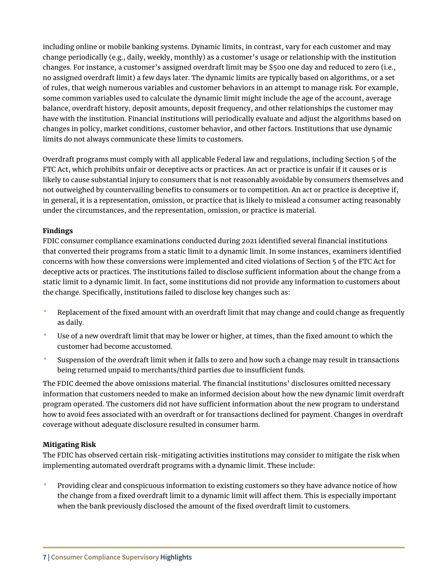including online or mobile banking systems. Dynamic limits, in contrast, vary for each customer and may change periodically (e.g., daily, weekly, monthly) as a customer's usage or relationship with the institution changes. For instance, a customer's assigned overdraft limit may be \$500 one day and reduced to zero (i.e., no assigned overdraft limit) a few days later. The dynamic limits are typically based on algorithms, or a set of rules, that weigh numerous variables and customer behaviors in an attempt to manage risk. For example, some common variables used to calculate the dynamic limit might include the age of the account, average balance, overdraft history, deposit amounts, deposit frequency, and other relationships the customer may have with the institution. Financial institutions will periodically evaluate and adjust the algorithms based on changes in policy, market conditions, customer behavior, and other factors. Institutions that use dynamic limits do not always communicate these limits to customers.

Overdraft programs must comply with all applicable Federal law and regulations, including Section 5 of the FTC Act, which prohibits unfair or deceptive acts or practices. An act or practice is unfair if it causes or is likely to cause substantial injury to consumers that is not reasonably avoidable by consumers themselves and not outweighed by countervailing benefts to consumers or to competition. An act or practice is deceptive if, in general, it is a representation, omission, or practice that is likely to mislead a consumer acting reasonably under the circumstances, and the representation, omission, or practice is material.

#### Findings

FDIC consumer compliance examinations conducted during 2021 identifed several fnancial institutions that converted their programs from a static limit to a dynamic limit. In some instances, examiners identifed concerns with how these conversions were implemented and cited violations of Section 5 of the FTC Act for deceptive acts or practices. The institutions failed to disclose sufficient information about the change from a static limit to a dynamic limit. In fact, some institutions did not provide any information to customers about the change. Specifically, institutions failed to disclose key changes such as:

- Replacement of the fixed amount with an overdraft limit that may change and could change as frequently as daily.
- Use of a new overdraft limit that may be lower or higher, at times, than the fixed amount to which the customer had become accustomed.
- Suspension of the overdraft limit when it falls to zero and how such a change may result in transactions being returned unpaid to merchants/third parties due to insufficient funds.

The FDIC deemed the above omissions material. The financial institutions' disclosures omitted necessary information that customers needed to make an informed decision about how the new dynamic limit overdraft program operated. The customers did not have sufficient information about the new program to understand how to avoid fees associated with an overdraft or for transactions declined for payment. Changes in overdraft coverage without adequate disclosure resulted in consumer harm.

#### Mitigating Risk

The FDIC has observed certain risk-mitigating activities institutions may consider to mitigate the risk when implementing automated overdraft programs with a dynamic limit. These include:

• Providing clear and conspicuous information to existing customers so they have advance notice of how the change from a fixed overdraft limit to a dynamic limit will affect them. This is especially important when the bank previously disclosed the amount of the fixed overdraft limit to customers.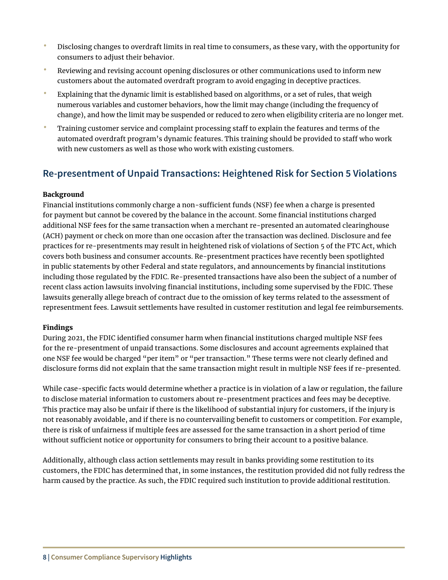- <span id="page-9-0"></span>• Disclosing changes to overdraft limits in real time to consumers, as these vary, with the opportunity for consumers to adjust their behavior.
- Reviewing and revising account opening disclosures or other communications used to inform new customers about the automated overdraft program to avoid engaging in deceptive practices.
- Explaining that the dynamic limit is established based on algorithms, or a set of rules, that weigh numerous variables and customer behaviors, how the limit may change (including the frequency of change), and how the limit may be suspended or reduced to zero when eligibility criteria are no longer met.
- Training customer service and complaint processing staff to explain the features and terms of the automated overdraft program's dynamic features. This training should be provided to staff who work with new customers as well as those who work with existing customers.

### **Re-presentment of Unpaid Transactions: Heightened Risk for Section 5 Violations**

#### Background

Financial institutions commonly charge a non-sufficient funds (NSF) fee when a charge is presented for payment but cannot be covered by the balance in the account. Some financial institutions charged additional NSF fees for the same transaction when a merchant re-presented an automated clearinghouse (ACH) payment or check on more than one occasion after the transaction was declined. Disclosure and fee practices for re-presentments may result in heightened risk of violations of Section 5 of the FTC Act, which covers both business and consumer accounts. Re-presentment practices have recently been spotlighted in public statements by other Federal and state regulators, and announcements by fnancial institutions including those regulated by the FDIC. Re-presented transactions have also been the subject of a number of recent class action lawsuits involving fnancial institutions, including some supervised by the FDIC. These lawsuits generally allege breach of contract due to the omission of key terms related to the assessment of representment fees. Lawsuit settlements have resulted in customer restitution and legal fee reimbursements.

#### Findings

During 2021, the FDIC identified consumer harm when financial institutions charged multiple NSF fees for the re-presentment of unpaid transactions. Some disclosures and account agreements explained that one NSF fee would be charged "per item" or "per transaction." These terms were not clearly defined and disclosure forms did not explain that the same transaction might result in multiple NSF fees if re-presented.

While case-specific facts would determine whether a practice is in violation of a law or regulation, the failure to disclose material information to customers about re-presentment practices and fees may be deceptive. This practice may also be unfair if there is the likelihood of substantial injury for customers, if the injury is not reasonably avoidable, and if there is no countervailing benefit to customers or competition. For example, there is risk of unfairness if multiple fees are assessed for the same transaction in a short period of time without sufficient notice or opportunity for consumers to bring their account to a positive balance.

Additionally, although class action settlements may result in banks providing some restitution to its customers, the FDIC has determined that, in some instances, the restitution provided did not fully redress the harm caused by the practice. As such, the FDIC required such institution to provide additional restitution.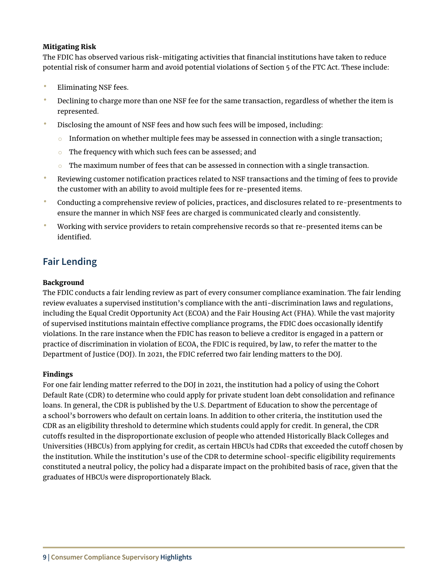#### <span id="page-10-0"></span>Mitigating Risk

The FDIC has observed various risk-mitigating activities that fnancial institutions have taken to reduce potential risk of consumer harm and avoid potential violations of Section 5 of the FTC Act. These include:

- Eliminating NSF fees.
- Declining to charge more than one NSF fee for the same transaction, regardless of whether the item is represented.
- Disclosing the amount of NSF fees and how such fees will be imposed, including:
	- $\circ$  Information on whether multiple fees may be assessed in connection with a single transaction;
	- $\circ$  The frequency with which such fees can be assessed; and
	- $\circ$  The maximum number of fees that can be assessed in connection with a single transaction.
- Reviewing customer notifcation practices related to NSF transactions and the timing of fees to provide the customer with an ability to avoid multiple fees for re-presented items.
- Conducting a comprehensive review of policies, practices, and disclosures related to re-presentments to ensure the manner in which NSF fees are charged is communicated clearly and consistently.
- Working with service providers to retain comprehensive records so that re-presented items can be identified.

# **Fair Lending**

#### Background

The FDIC conducts a fair lending review as part of every consumer compliance examination. The fair lending review evaluates a supervised institution's compliance with the anti-discrimination laws and regulations, including the Equal Credit Opportunity Act (ECOA) and the Fair Housing Act (FHA). While the vast majority of supervised institutions maintain efective compliance programs, the FDIC does occasionally identify violations. In the rare instance when the FDIC has reason to believe a creditor is engaged in a pattern or practice of discrimination in violation of ECOA, the FDIC is required, by law, to refer the matter to the Department of Justice (DOJ). In 2021, the FDIC referred two fair lending matters to the DOJ.

#### Findings

For one fair lending matter referred to the DOJ in 2021, the institution had a policy of using the Cohort Default Rate (CDR) to determine who could apply for private student loan debt consolidation and refnance loans. In general, the CDR is published by the U.S. Department of Education to show the percentage of a school's borrowers who default on certain loans. In addition to other criteria, the institution used the CDR as an eligibility threshold to determine which students could apply for credit. In general, the CDR cutofs resulted in the disproportionate exclusion of people who attended Historically Black Colleges and Universities (HBCUs) from applying for credit, as certain HBCUs had CDRs that exceeded the cutof chosen by the institution. While the institution's use of the CDR to determine school-specifc eligibility requirements constituted a neutral policy, the policy had a disparate impact on the prohibited basis of race, given that the graduates of HBCUs were disproportionately Black.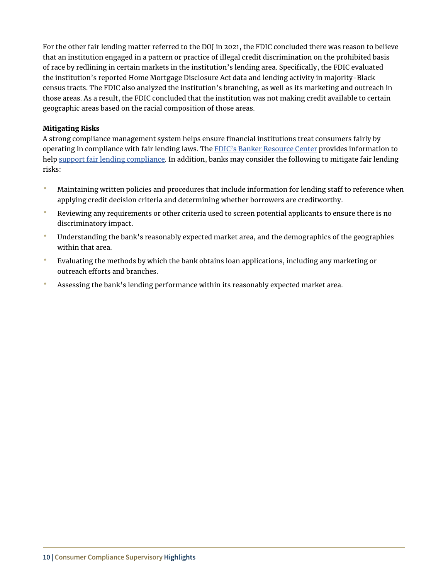For the other fair lending matter referred to the DOJ in 2021, the FDIC concluded there was reason to believe that an institution engaged in a pattern or practice of illegal credit discrimination on the prohibited basis of race by redlining in certain markets in the institution's lending area. Specifcally, the FDIC evaluated the institution's reported Home Mortgage Disclosure Act data and lending activity in majority-Black census tracts. The FDIC also analyzed the institution's branching, as well as its marketing and outreach in those areas. As a result, the FDIC concluded that the institution was not making credit available to certain geographic areas based on the racial composition of those areas.

#### Mitigating Risks

A strong compliance management system helps ensure fnancial institutions treat consumers fairly by operating in compliance with fair lending laws. The [FDIC's Banker Resource Center](https://www.fdic.gov/resources/bankers/) provides information to help [support fair lending compliance](https://www.fdic.gov/resources/bankers/fair-lending/). In addition, banks may consider the following to mitigate fair lending risks:

- Maintaining written policies and procedures that include information for lending staff to reference when applying credit decision criteria and determining whether borrowers are creditworthy.
- Reviewing any requirements or other criteria used to screen potential applicants to ensure there is no discriminatory impact.
- Understanding the bank's reasonably expected market area, and the demographics of the geographies within that area.
- Evaluating the methods by which the bank obtains loan applications, including any marketing or outreach efforts and branches.
- Assessing the bank's lending performance within its reasonably expected market area.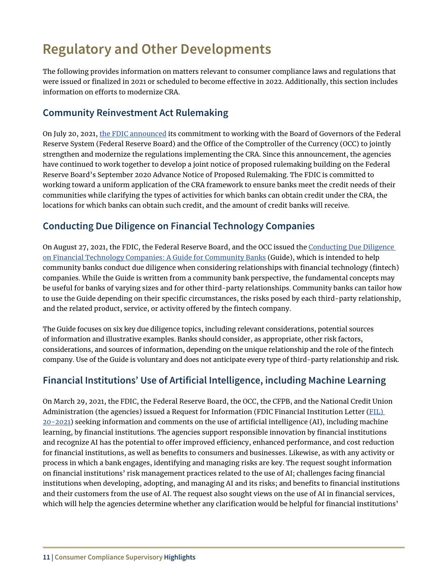# <span id="page-12-0"></span>**Regulatory and Other Developments**

The following provides information on matters relevant to consumer compliance laws and regulations that were issued or fnalized in 2021 or scheduled to become efective in 2022. Additionally, this section includes information on efforts to modernize CRA.

### **Community Reinvestment Act Rulemaking**

On July 20, 2021, [the FDIC announced](https://www.fdic.gov/news/press-releases/2021/pr21067.html) its commitment to working with the Board of Governors of the Federal Reserve System (Federal Reserve Board) and the Office of the Comptroller of the Currency (OCC) to jointly strengthen and modernize the regulations implementing the CRA. Since this announcement, the agencies have continued to work together to develop a joint notice of proposed rulemaking building on the Federal Reserve Board's September 2020 Advance Notice of Proposed Rulemaking. The FDIC is committed to working toward a uniform application of the CRA framework to ensure banks meet the credit needs of their communities while clarifying the types of activities for which banks can obtain credit under the CRA, the locations for which banks can obtain such credit, and the amount of credit banks will receive.

### **Conducting Due Diligence on Financial Technology Companies**

On August 27, 2021, the FDIC, the Federal Reserve Board, and the OCC issued the [Conducting Due Diligence](https://www.fdic.gov/news/press-releases/2021/pr21075a.pdf)  [on Financial Technology Companies: A Guide for Community Banks](https://www.fdic.gov/news/press-releases/2021/pr21075a.pdf) (Guide), which is intended to help community banks conduct due diligence when considering relationships with fnancial technology (fntech) companies. While the Guide is written from a community bank perspective, the fundamental concepts may be useful for banks of varying sizes and for other third-party relationships. Community banks can tailor how to use the Guide depending on their specific circumstances, the risks posed by each third-party relationship, and the related product, service, or activity offered by the fintech company.

The Guide focuses on six key due diligence topics, including relevant considerations, potential sources of information and illustrative examples. Banks should consider, as appropriate, other risk factors, considerations, and sources of information, depending on the unique relationship and the role of the fntech company. Use of the Guide is voluntary and does not anticipate every type of third-party relationship and risk.

# **Financial Institutions' Use of Artificial Intelligence, including Machine Learning**

On March 29, 2021, the FDIC, the Federal Reserve Board, the OCC, the CFPB, and the National Credit Union Administration (the agencies) issued a Request for Information (FDIC Financial Institution Letter ([FIL\)](https://www.fdic.gov/news/financial-institution-letters/2021/fil21020.html)  [20-2021](https://www.fdic.gov/news/financial-institution-letters/2021/fil21020.html)) seeking information and comments on the use of artifcial intelligence (AI), including machine learning, by fnancial institutions. The agencies support responsible innovation by fnancial institutions and recognize AI has the potential to offer improved efficiency, enhanced performance, and cost reduction for fnancial institutions, as well as benefts to consumers and businesses. Likewise, as with any activity or process in which a bank engages, identifying and managing risks are key. The request sought information on fnancial institutions' risk management practices related to the use of AI; challenges facing fnancial institutions when developing, adopting, and managing AI and its risks; and benefits to financial institutions and their customers from the use of AI. The request also sought views on the use of AI in fnancial services, which will help the agencies determine whether any clarification would be helpful for financial institutions'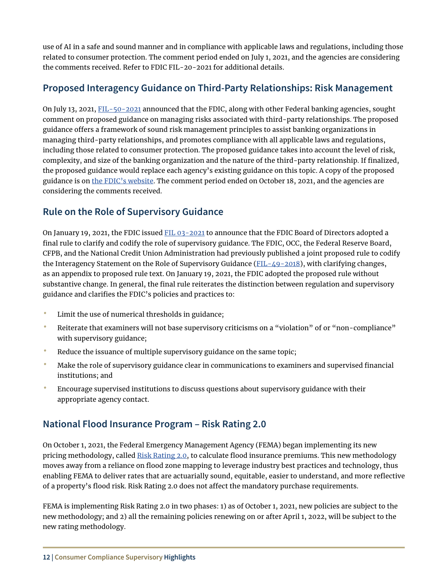<span id="page-13-0"></span>use of AI in a safe and sound manner and in compliance with applicable laws and regulations, including those related to consumer protection. The comment period ended on July 1, 2021, and the agencies are considering the comments received. Refer to FDIC FIL-20-2021 for additional details.

### **Proposed Interagency Guidance on Third-Party Relationships: Risk Management**

On July 13, 2021, [FIL-50-2021](https://www.fdic.gov/news/financial-institution-letters/2021/fil21050.html) announced that the FDIC, along with other Federal banking agencies, sought comment on proposed guidance on managing risks associated with third-party relationships. The proposed guidance offers a framework of sound risk management principles to assist banking organizations in managing third-party relationships, and promotes compliance with all applicable laws and regulations, including those related to consumer protection. The proposed guidance takes into account the level of risk, complexity, and size of the banking organization and the nature of the third-party relationship. If fnalized, the proposed guidance would replace each agency's existing guidance on this topic. A copy of the proposed guidance is on [the FDIC's website.](https://www.fdic.gov/news/press-releases/2021/pr21061a.pdf) The comment period ended on October 18, 2021, and the agencies are considering the comments received.

# **Rule on the Role of Supervisory Guidance**

On January 19, 2021, the FDIC issued [FIL 03-2021](https://www.fdic.gov/news/financial-institution-letters/2021/fil21003.html) to announce that the FDIC Board of Directors adopted a final rule to clarify and codify the role of supervisory guidance. The FDIC, OCC, the Federal Reserve Board, CFPB, and the National Credit Union Administration had previously published a joint proposed rule to codify the Interagency Statement on the Role of Supervisory Guidance ( $FIL - 49 - 2018$ ), with clarifying changes, as an appendix to proposed rule text. On January 19, 2021, the FDIC adopted the proposed rule without substantive change. In general, the fnal rule reiterates the distinction between regulation and supervisory guidance and clarifes the FDIC's policies and practices to:

- Limit the use of numerical thresholds in guidance;
- Reiterate that examiners will not base supervisory criticisms on a "violation" of or "non-compliance" with supervisory guidance;
- Reduce the issuance of multiple supervisory guidance on the same topic;
- Make the role of supervisory guidance clear in communications to examiners and supervised fnancial institutions; and
- Encourage supervised institutions to discuss questions about supervisory guidance with their appropriate agency contact.

# **National Flood Insurance Program – Risk Rating 2.0**

On October 1, 2021, the Federal Emergency Management Agency (FEMA) began implementing its new pricing methodology, called [Risk Rating 2.0](https://www.fema.gov/flood-insurance/risk-rating), to calculate flood insurance premiums. This new methodology moves away from a reliance on flood zone mapping to leverage industry best practices and technology, thus enabling FEMA to deliver rates that are actuarially sound, equitable, easier to understand, and more refective of a property's flood risk. Risk Rating 2.0 does not affect the mandatory purchase requirements.

FEMA is implementing Risk Rating 2.0 in two phases: 1) as of October 1, 2021, new policies are subject to the new methodology; and 2) all the remaining policies renewing on or after April 1, 2022, will be subject to the new rating methodology.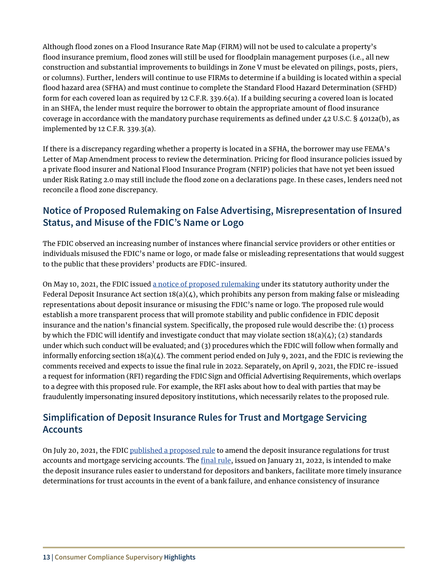<span id="page-14-0"></span>Although food zones on a Flood Insurance Rate Map (FIRM) will not be used to calculate a property's flood insurance premium, flood zones will still be used for floodplain management purposes (i.e., all new construction and substantial improvements to buildings in Zone V must be elevated on pilings, posts, piers, or columns). Further, lenders will continue to use FIRMs to determine if a building is located within a special food hazard area (SFHA) and must continue to complete the Standard Flood Hazard Determination (SFHD) form for each covered loan as required by 12 C.F.R. 339.6(a). If a building securing a covered loan is located in an SHFA, the lender must require the borrower to obtain the appropriate amount of flood insurance coverage in accordance with the mandatory purchase requirements as defned under 42 U.S.C. § 4012a(b), as implemented by 12 C.F.R. 339.3(a).

If there is a discrepancy regarding whether a property is located in a SFHA, the borrower may use FEMA's Letter of Map Amendment process to review the determination. Pricing for flood insurance policies issued by a private food insurer and National Flood Insurance Program (NFIP) policies that have not yet been issued under Risk Rating 2.0 may still include the flood zone on a declarations page. In these cases, lenders need not reconcile a flood zone discrepancy.

### **Notice of Proposed Rulemaking on False Advertising, Misrepresentation of Insured Status, and Misuse of the FDIC's Name or Logo**

The FDIC observed an increasing number of instances where fnancial service providers or other entities or individuals misused the FDIC's name or logo, or made false or misleading representations that would suggest to the public that these providers' products are FDIC-insured.

On May 10, 2021, the FDIC issued [a notice of proposed rulemaking](https://www.fdic.gov/news/board-matters/2021/2021-04-21-notational-fr-a.pdf) under its statutory authority under the Federal Deposit Insurance Act section  $18(a)(4)$ , which prohibits any person from making false or misleading representations about deposit insurance or misusing the FDIC's name or logo. The proposed rule would establish a more transparent process that will promote stability and public confdence in FDIC deposit insurance and the nation's fnancial system. Specifcally, the proposed rule would describe the: (1) process by which the FDIC will identify and investigate conduct that may violate section  $18(a)(4)$ ; (2) standards under which such conduct will be evaluated; and (3) procedures which the FDIC will follow when formally and informally enforcing section  $18(a)(4)$ . The comment period ended on July 9, 2021, and the FDIC is reviewing the comments received and expects to issue the fnal rule in 2022. Separately, on April 9, 2021, the FDIC re-issued a request for information (RFI) regarding the FDIC Sign and Official Advertising Requirements, which overlaps to a degree with this proposed rule. For example, the RFI asks about how to deal with parties that may be fraudulently impersonating insured depository institutions, which necessarily relates to the proposed rule.

# **Simplification of Deposit Insurance Rules for Trust and Mortgage Servicing Accounts**

On July 20, 2021, the FDIC [published a proposed rule](https://fdicgov.sharepoint.com/teams/FDICTeamsDCP--None--SupervisoryHighlightsTEAM/Shared%20Documents/General/2022%20Supervisory%20Highlights%20Draft%20for%20Review/fdic.gov/news/financial-institution-letters/2021/fil21051.html) to amend the deposit insurance regulations for trust accounts and mortgage servicing accounts. The final rule, issued on January 21, 2022, is intended to make the deposit insurance rules easier to understand for depositors and bankers, facilitate more timely insurance determinations for trust accounts in the event of a bank failure, and enhance consistency of insurance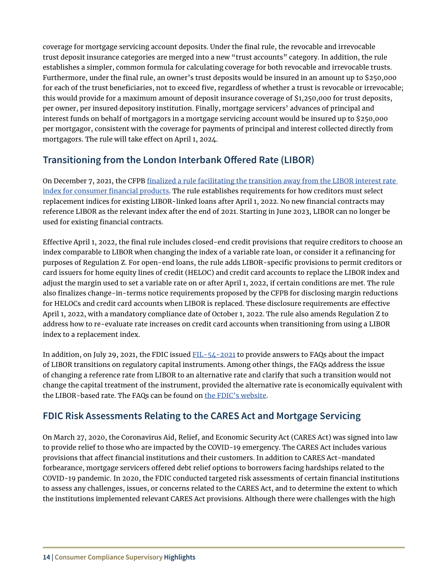<span id="page-15-0"></span>coverage for mortgage servicing account deposits. Under the fnal rule, the revocable and irrevocable trust deposit insurance categories are merged into a new "trust accounts" category. In addition, the rule establishes a simpler, common formula for calculating coverage for both revocable and irrevocable trusts. Furthermore, under the fnal rule, an owner's trust deposits would be insured in an amount up to \$250,000 for each of the trust beneficiaries, not to exceed five, regardless of whether a trust is revocable or irrevocable; this would provide for a maximum amount of deposit insurance coverage of \$1,250,000 for trust deposits, per owner, per insured depository institution. Finally, mortgage servicers' advances of principal and interest funds on behalf of mortgagors in a mortgage servicing account would be insured up to \$250,000 per mortgagor, consistent with the coverage for payments of principal and interest collected directly from mortgagors. The rule will take effect on April 1, 2024.

# **Transitioning from the London Interbank Ofered Rate (LIBOR)**

On December 7, 2021, the CFPB finalized a rule facilitating the transition away from the LIBOR interest rate [index for consumer fnancial products](https://files.consumerfinance.gov/f/documents/cfpb_facilitating-libor-transition_final-rule_2021-12.pdf). The rule establishes requirements for how creditors must select replacement indices for existing LIBOR-linked loans after April 1, 2022. No new fnancial contracts may reference LIBOR as the relevant index after the end of 2021. Starting in June 2023, LIBOR can no longer be used for existing financial contracts.

Efective April 1, 2022, the fnal rule includes closed-end credit provisions that require creditors to choose an index comparable to LIBOR when changing the index of a variable rate loan, or consider it a refnancing for purposes of Regulation Z. For open-end loans, the rule adds LIBOR-specifc provisions to permit creditors or card issuers for home equity lines of credit (HELOC) and credit card accounts to replace the LIBOR index and adjust the margin used to set a variable rate on or after April 1, 2022, if certain conditions are met. The rule also fnalizes change-in-terms notice requirements proposed by the CFPB for disclosing margin reductions for HELOCs and credit card accounts when LIBOR is replaced. These disclosure requirements are efective April 1, 2022, with a mandatory compliance date of October 1, 2022. The rule also amends Regulation Z to address how to re-evaluate rate increases on credit card accounts when transitioning from using a LIBOR index to a replacement index.

In addition, on July 29, 2021, the FDIC issued [FIL-54-2021](https://www.fdic.gov/news/financial-institution-letters/2021/fil21054.html) to provide answers to FAQs about the impact of LIBOR transitions on regulatory capital instruments. Among other things, the FAQs address the issue of changing a reference rate from LIBOR to an alternative rate and clarify that such a transition would not change the capital treatment of the instrument, provided the alternative rate is economically equivalent with the LIBOR-based rate. The FAQs can be found on [the FDIC's website](https://www.fdic.gov/news/financial-institution-letters/2021/fil21054a.pdf).

# **FDIC Risk Assessments Relating to the CARES Act and Mortgage Servicing**

On March 27, 2020, the Coronavirus Aid, Relief, and Economic Security Act (CARES Act) was signed into law to provide relief to those who are impacted by the COVID-19 emergency. The CARES Act includes various provisions that afect fnancial institutions and their customers. In addition to CARES Act-mandated forbearance, mortgage servicers offered debt relief options to borrowers facing hardships related to the COVID-19 pandemic. In 2020, the FDIC conducted targeted risk assessments of certain fnancial institutions to assess any challenges, issues, or concerns related to the CARES Act, and to determine the extent to which the institutions implemented relevant CARES Act provisions. Although there were challenges with the high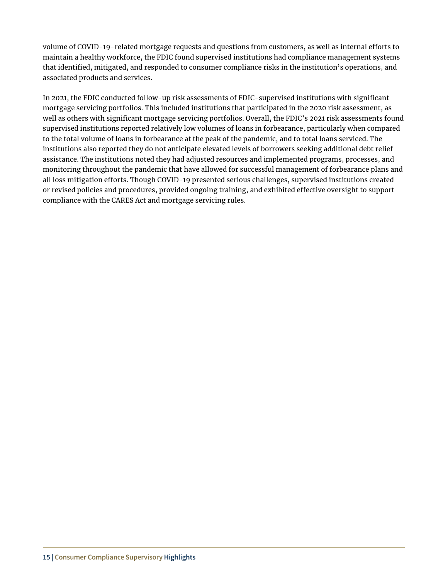volume of COVID-19-related mortgage requests and questions from customers, as well as internal eforts to maintain a healthy workforce, the FDIC found supervised institutions had compliance management systems that identifed, mitigated, and responded to consumer compliance risks in the institution's operations, and associated products and services.

In 2021, the FDIC conducted follow-up risk assessments of FDIC-supervised institutions with signifcant mortgage servicing portfolios. This included institutions that participated in the 2020 risk assessment, as well as others with signifcant mortgage servicing portfolios. Overall, the FDIC's 2021 risk assessments found supervised institutions reported relatively low volumes of loans in forbearance, particularly when compared to the total volume of loans in forbearance at the peak of the pandemic, and to total loans serviced. The institutions also reported they do not anticipate elevated levels of borrowers seeking additional debt relief assistance. The institutions noted they had adjusted resources and implemented programs, processes, and monitoring throughout the pandemic that have allowed for successful management of forbearance plans and all loss mitigation eforts. Though COVID-19 presented serious challenges, supervised institutions created or revised policies and procedures, provided ongoing training, and exhibited efective oversight to support compliance with the CARES Act and mortgage servicing rules.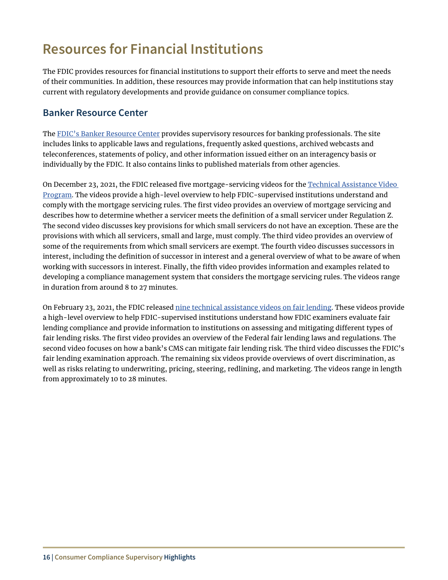# <span id="page-17-0"></span>**Resources for Financial Institutions**

The FDIC provides resources for financial institutions to support their efforts to serve and meet the needs of their communities. In addition, these resources may provide information that can help institutions stay current with regulatory developments and provide guidance on consumer compliance topics.

### **Banker Resource Center**

The [FDIC's Banker Resource Center](https://www.fdic.gov/resources/bankers/) provides supervisory resources for banking professionals. The site includes links to applicable laws and regulations, frequently asked questions, archived webcasts and teleconferences, statements of policy, and other information issued either on an interagency basis or individually by the FDIC. It also contains links to published materials from other agencies.

On December 23, 2021, the FDIC released five mortgage-servicing videos for the Technical Assistance Video [Program](https://www.fdic.gov/news/financial-institution-letters/2021/fil21079.html). The videos provide a high-level overview to help FDIC-supervised institutions understand and comply with the mortgage servicing rules. The frst video provides an overview of mortgage servicing and describes how to determine whether a servicer meets the defnition of a small servicer under Regulation Z. The second video discusses key provisions for which small servicers do not have an exception. These are the provisions with which all servicers, small and large, must comply. The third video provides an overview of some of the requirements from which small servicers are exempt. The fourth video discusses successors in interest, including the defnition of successor in interest and a general overview of what to be aware of when working with successors in interest. Finally, the ffth video provides information and examples related to developing a compliance management system that considers the mortgage servicing rules. The videos range in duration from around 8 to 27 minutes.

On February 23, 2021, the FDIC released [nine technical assistance videos on fair lending](https://www.fdic.gov/resources/bankers/fair-lending/technical-assistance-video-program.html). These videos provide a high-level overview to help FDIC-supervised institutions understand how FDIC examiners evaluate fair lending compliance and provide information to institutions on assessing and mitigating diferent types of fair lending risks. The first video provides an overview of the Federal fair lending laws and regulations. The second video focuses on how a bank's CMS can mitigate fair lending risk. The third video discusses the FDIC's fair lending examination approach. The remaining six videos provide overviews of overt discrimination, as well as risks relating to underwriting, pricing, steering, redlining, and marketing. The videos range in length from approximately 10 to 28 minutes.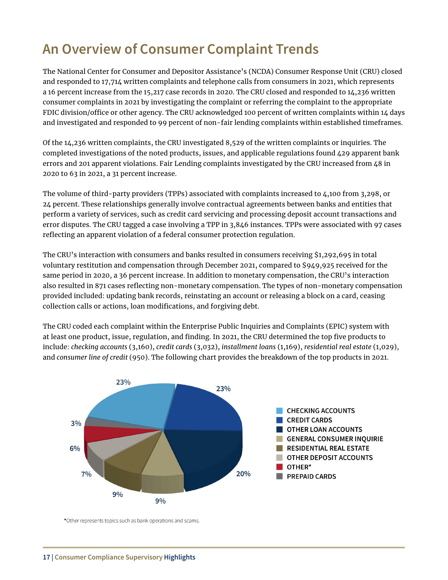# <span id="page-18-0"></span>**An Overview of Consumer Complaint Trends**

The National Center for Consumer and Depositor Assistance's (NCDA) Consumer Response Unit (CRU) closed and responded to 17,714 written complaints and telephone calls from consumers in 2021, which represents a 16 percent increase from the 15,217 case records in 2020. The CRU closed and responded to 14,236 written consumer complaints in 2021 by investigating the complaint or referring the complaint to the appropriate FDIC division/office or other agency. The CRU acknowledged 100 percent of written complaints within 14 days and investigated and responded to 99 percent of non-fair lending complaints within established timeframes.

Of the 14,236 written complaints, the CRU investigated 8,529 of the written complaints or inquiries. The completed investigations of the noted products, issues, and applicable regulations found 429 apparent bank errors and 201 apparent violations. Fair Lending complaints investigated by the CRU increased from 48 in 2020 to 63 in 2021, a 31 percent increase.

The volume of third-party providers (TPPs) associated with complaints increased to 4,100 from 3,298, or 24 percent. These relationships generally involve contractual agreements between banks and entities that perform a variety of services, such as credit card servicing and processing deposit account transactions and error disputes. The CRU tagged a case involving a TPP in 3,846 instances. TPPs were associated with 97 cases refecting an apparent violation of a federal consumer protection regulation.

The CRU's interaction with consumers and banks resulted in consumers receiving \$1,292,695 in total voluntary restitution and compensation through December 2021, compared to \$949,925 received for the same period in 2020, a 36 percent increase. In addition to monetary compensation, the CRU's interaction also resulted in 871 cases refecting non-monetary compensation. The types of non-monetary compensation provided included: updating bank records, reinstating an account or releasing a block on a card, ceasing collection calls or actions, loan modifications, and forgiving debt.

The CRU coded each complaint within the Enterprise Public Inquiries and Complaints (EPIC) system with at least one product, issue, regulation, and fnding. In 2021, the CRU determined the top fve products to include: *checking accounts* (3,160), *credit cards* (3,032), *installment loans* (1,169), *residential real estate* (1,029), and *consumer line of credit* (950). The following chart provides the breakdown of the top products in 2021.



\*Other represents topics such as bank operations and scams.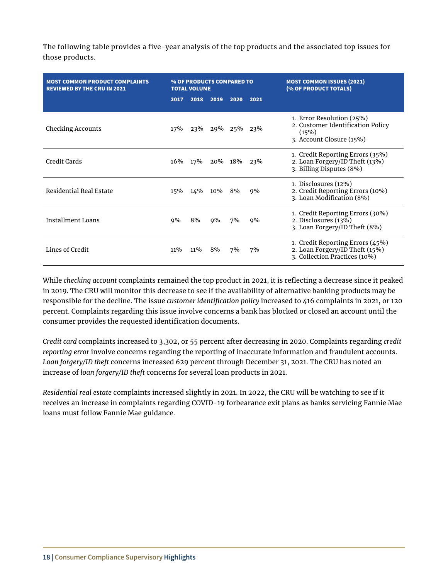The following table provides a five-year analysis of the top products and the associated top issues for those products.

| <b>MOST COMMON PRODUCT COMPLAINTS</b><br><b>REVIEWED BY THE CRU IN 2021</b> | % OF PRODUCTS COMPARED TO<br><b>TOTAL VOLUME</b> |        |         |             |      | <b>MOST COMMON ISSUES (2021)</b><br>(% OF PRODUCT TOTALS)                                           |
|-----------------------------------------------------------------------------|--------------------------------------------------|--------|---------|-------------|------|-----------------------------------------------------------------------------------------------------|
|                                                                             | 2017                                             | 2018   | 2019    | 2020        | 2021 |                                                                                                     |
| <b>Checking Accounts</b>                                                    | 17%                                              |        |         | 23% 29% 25% | 23%  | 1. Error Resolution (25%)<br>2. Customer Identification Policy<br>(15%)<br>3. Account Closure (15%) |
| Credit Cards                                                                | 16%                                              | 17%    | 20% 18% |             | 23%  | 1. Credit Reporting Errors (35%)<br>2. Loan Forgery/ID Theft (13%)<br>3. Billing Disputes (8%)      |
| Residential Real Estate                                                     | 15%                                              | 14%    | $10\%$  | 8%          | 9%   | 1. Disclosures (12%)<br>2. Credit Reporting Errors (10%)<br>3. Loan Modification (8%)               |
| Installment Loans                                                           | $9\%$                                            | 8%     | $9\%$   | 7%          | 9%   | 1. Credit Reporting Errors (30%)<br>2. Disclosures (13%)<br>3. Loan Forgery/ID Theft (8%)           |
| Lines of Credit                                                             | $11\%$                                           | $11\%$ | 8%      | 7%          | 7%   | 1. Credit Reporting Errors (45%)<br>2. Loan Forgery/ID Theft (15%)<br>3. Collection Practices (10%) |

While *checking account* complaints remained the top product in 2021, it is refecting a decrease since it peaked in 2019. The CRU will monitor this decrease to see if the availability of alternative banking products may be responsible for the decline. The issue *customer identifcation policy* increased to 416 complaints in 2021, or 120 percent. Complaints regarding this issue involve concerns a bank has blocked or closed an account until the consumer provides the requested identification documents.

*Credit card* complaints increased to 3,302, or 55 percent after decreasing in 2020. Complaints regarding *credit reporting error* involve concerns regarding the reporting of inaccurate information and fraudulent accounts. *Loan forgery/ID theft* concerns increased 629 percent through December 31, 2021. The CRU has noted an increase of *loan forgery/ID theft* concerns for several loan products in 2021.

*Residential real estate* complaints increased slightly in 2021. In 2022, the CRU will be watching to see if it receives an increase in complaints regarding COVID-19 forbearance exit plans as banks servicing Fannie Mae loans must follow Fannie Mae guidance.